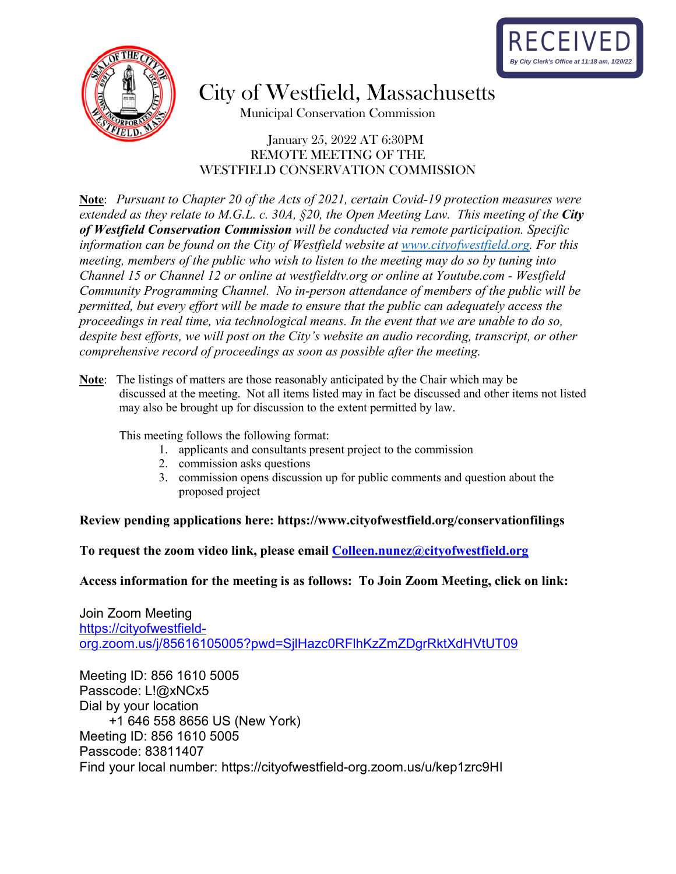



City of Westfield, Massachusetts

Municipal Conservation Commission

#### January 25, 2022 AT 6:30PM REMOTE MEETING OF THE WESTFIELD CONSERVATION COMMISSION

**Note**: *Pursuant to Chapter 20 of the Acts of 2021, certain Covid-19 protection measures were extended as they relate to M.G.L. c. 30A, §20, the Open Meeting Law. This meeting of the City of Westfield Conservation Commission will be conducted via remote participation. Specific information can be found on the City of Westfield website at [www.cityofwestfield.org.](http://www.cityofwestfield.org/) For this meeting, members of the public who wish to listen to the meeting may do so by tuning into Channel 15 or Channel 12 or online at westfieldtv.org or online at Youtube.com - Westfield Community Programming Channel. No in-person attendance of members of the public will be permitted, but every effort will be made to ensure that the public can adequately access the proceedings in real time, via technological means. In the event that we are unable to do so, despite best efforts, we will post on the City's website an audio recording, transcript, or other comprehensive record of proceedings as soon as possible after the meeting.* 

**Note**: The listings of matters are those reasonably anticipated by the Chair which may be discussed at the meeting. Not all items listed may in fact be discussed and other items not listed may also be brought up for discussion to the extent permitted by law.

This meeting follows the following format:

- 1. applicants and consultants present project to the commission
- 2. commission asks questions
- 3. commission opens discussion up for public comments and question about the proposed project

#### **Review pending applications here:<https://www.cityofwestfield.org/conservationfilings>**

**To request the zoom video link, please email [Colleen.nunez@cityo](mailto:Meredith.borenstein@cityofwestfield.org)fwestfield.org** 

**Access information for the meeting is as follows: To Join Zoom Meeting, click on link:** 

Join Zoom Meeting [https://cityofwestfield](https://cityofwestfield-org.zoom.us/j/85616105005?pwd=SjlHazc0RFlhKzZmZDgrRktXdHVtUT09)[org.zoom.us/j/85616105005?pwd=SjlHazc0RFlhKzZmZDgrRktXdHVtUT09](https://cityofwestfield-org.zoom.us/j/85616105005?pwd=SjlHazc0RFlhKzZmZDgrRktXdHVtUT09)

Meeting ID: 856 1610 5005 Passcode: L!@xNCx5 Dial by your location +1 646 558 8656 US (New York) Meeting ID: 856 1610 5005 Passcode: 83811407 Find your local number: https://cityofwestfield-org.zoom.us/u/kep1zrc9HI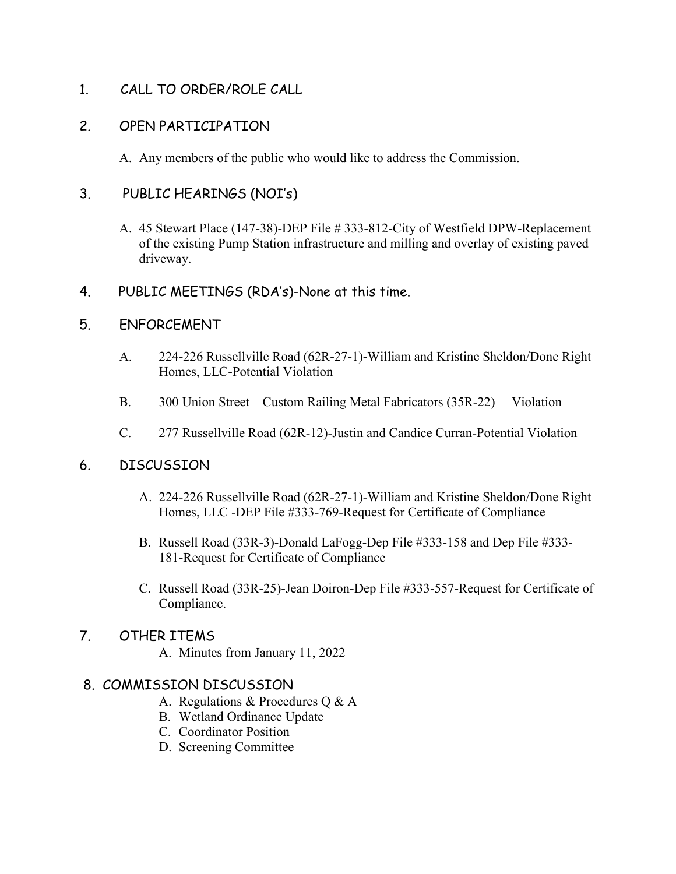1. CALL TO ORDER/ROLE CALL

# 2. OPEN PARTICIPATION

A. Any members of the public who would like to address the Commission.

# 3. PUBLIC HEARINGS (NOI's)

- A. 45 Stewart Place (147-38)-DEP File # 333-812-City of Westfield DPW-Replacement of the existing Pump Station infrastructure and milling and overlay of existing paved driveway.
- 4. PUBLIC MEETINGS (RDA's)-None at this time.

## 5. ENFORCEMENT

- A. 224-226 Russellville Road (62R-27-1)-William and Kristine Sheldon/Done Right Homes, LLC-Potential Violation
- B. 300 Union Street Custom Railing Metal Fabricators (35R-22) Violation
- C. 277 Russellville Road (62R-12)-Justin and Candice Curran-Potential Violation

## 6. DISCUSSION

- A. 224-226 Russellville Road (62R-27-1)-William and Kristine Sheldon/Done Right Homes, LLC -DEP File #333-769-Request for Certificate of Compliance
- B. Russell Road (33R-3)-Donald LaFogg-Dep File #333-158 and Dep File #333- 181-Request for Certificate of Compliance
- C. Russell Road (33R-25)-Jean Doiron-Dep File #333-557-Request for Certificate of Compliance.

## 7. OTHER ITEMS

A. Minutes from January 11, 2022

## 8. COMMISSION DISCUSSION

- A. Regulations & Procedures Q & A
- B. Wetland Ordinance Update
- C. Coordinator Position
- D. Screening Committee